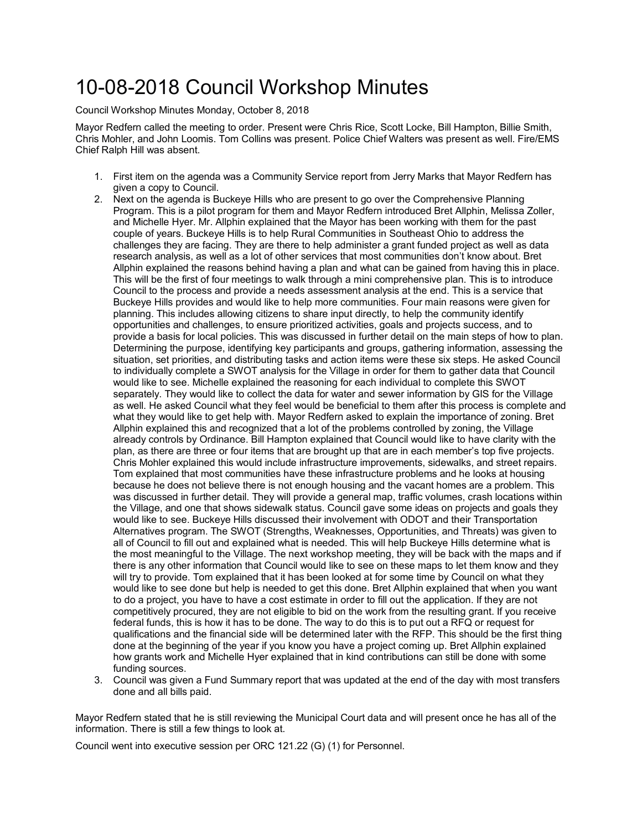## 10-08-2018 Council Workshop Minutes

Council Workshop Minutes Monday, October 8, 2018

Mayor Redfern called the meeting to order. Present were Chris Rice, Scott Locke, Bill Hampton, Billie Smith, Chris Mohler, and John Loomis. Tom Collins was present. Police Chief Walters was present as well. Fire/EMS Chief Ralph Hill was absent.

- 1. First item on the agenda was a Community Service report from Jerry Marks that Mayor Redfern has given a copy to Council.
- 2. Next on the agenda is Buckeye Hills who are present to go over the Comprehensive Planning Program. This is a pilot program for them and Mayor Redfern introduced Bret Allphin, Melissa Zoller, and Michelle Hyer. Mr. Allphin explained that the Mayor has been working with them for the past couple of years. Buckeye Hills is to help Rural Communities in Southeast Ohio to address the challenges they are facing. They are there to help administer a grant funded project as well as data research analysis, as well as a lot of other services that most communities don't know about. Bret Allphin explained the reasons behind having a plan and what can be gained from having this in place. This will be the first of four meetings to walk through a mini comprehensive plan. This is to introduce Council to the process and provide a needs assessment analysis at the end. This is a service that Buckeye Hills provides and would like to help more communities. Four main reasons were given for planning. This includes allowing citizens to share input directly, to help the community identify opportunities and challenges, to ensure prioritized activities, goals and projects success, and to provide a basis for local policies. This was discussed in further detail on the main steps of how to plan. Determining the purpose, identifying key participants and groups, gathering information, assessing the situation, set priorities, and distributing tasks and action items were these six steps. He asked Council to individually complete a SWOT analysis for the Village in order for them to gather data that Council would like to see. Michelle explained the reasoning for each individual to complete this SWOT separately. They would like to collect the data for water and sewer information by GIS for the Village as well. He asked Council what they feel would be beneficial to them after this process is complete and what they would like to get help with. Mayor Redfern asked to explain the importance of zoning. Bret Allphin explained this and recognized that a lot of the problems controlled by zoning, the Village already controls by Ordinance. Bill Hampton explained that Council would like to have clarity with the plan, as there are three or four items that are brought up that are in each member's top five projects. Chris Mohler explained this would include infrastructure improvements, sidewalks, and street repairs. Tom explained that most communities have these infrastructure problems and he looks at housing because he does not believe there is not enough housing and the vacant homes are a problem. This was discussed in further detail. They will provide a general map, traffic volumes, crash locations within the Village, and one that shows sidewalk status. Council gave some ideas on projects and goals they would like to see. Buckeye Hills discussed their involvement with ODOT and their Transportation Alternatives program. The SWOT (Strengths, Weaknesses, Opportunities, and Threats) was given to all of Council to fill out and explained what is needed. This will help Buckeye Hills determine what is the most meaningful to the Village. The next workshop meeting, they will be back with the maps and if there is any other information that Council would like to see on these maps to let them know and they will try to provide. Tom explained that it has been looked at for some time by Council on what they would like to see done but help is needed to get this done. Bret Allphin explained that when you want to do a project, you have to have a cost estimate in order to fill out the application. If they are not competitively procured, they are not eligible to bid on the work from the resulting grant. If you receive federal funds, this is how it has to be done. The way to do this is to put out a RFQ or request for qualifications and the financial side will be determined later with the RFP. This should be the first thing done at the beginning of the year if you know you have a project coming up. Bret Allphin explained how grants work and Michelle Hyer explained that in kind contributions can still be done with some funding sources.
- 3. Council was given a Fund Summary report that was updated at the end of the day with most transfers done and all bills paid.

Mayor Redfern stated that he is still reviewing the Municipal Court data and will present once he has all of the information. There is still a few things to look at.

Council went into executive session per ORC 121.22 (G) (1) for Personnel.